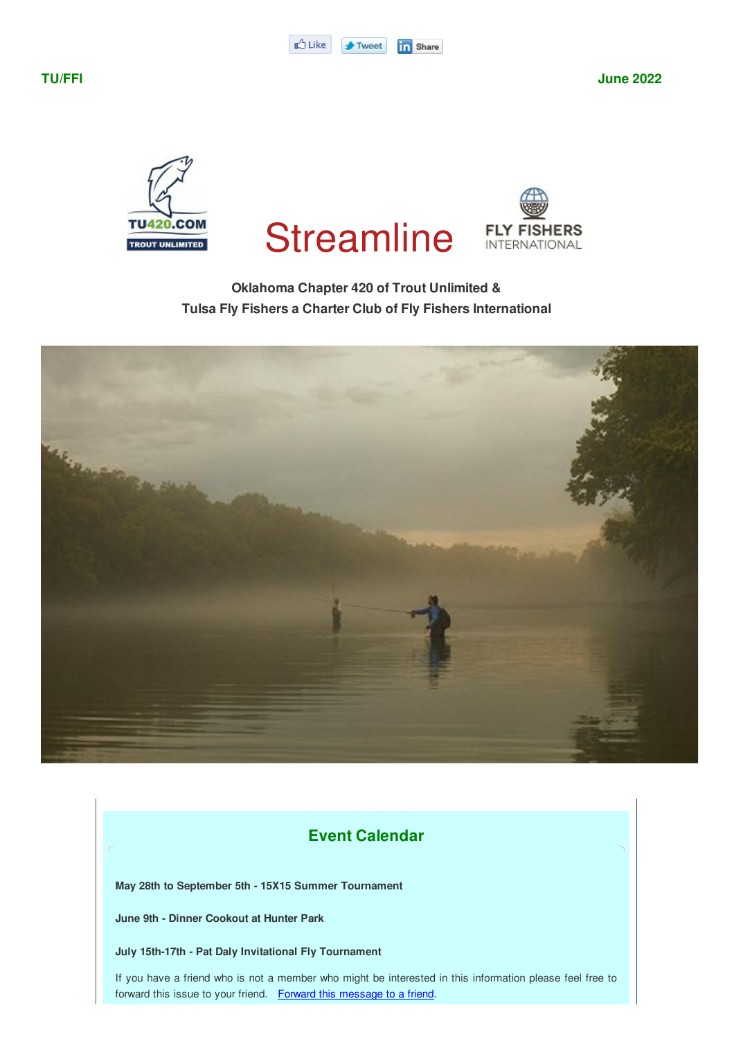





# **Oklahoma Chapter 420 of Trout Unlimited & Tulsa Fly Fishers a Charter Club of Fly Fishers International**



# **Event Calendar**

**May 28th to September 5th - 15X15 Summer Tournament**

**June 9th - Dinner Cookout at Hunter Park**

**July 15th-17th - Pat Daly Invitational Fly Tournament**

If you have a friend who is not a member who might be interested in this information please feel free to forward this issue to your friend. Forward this message to a friend.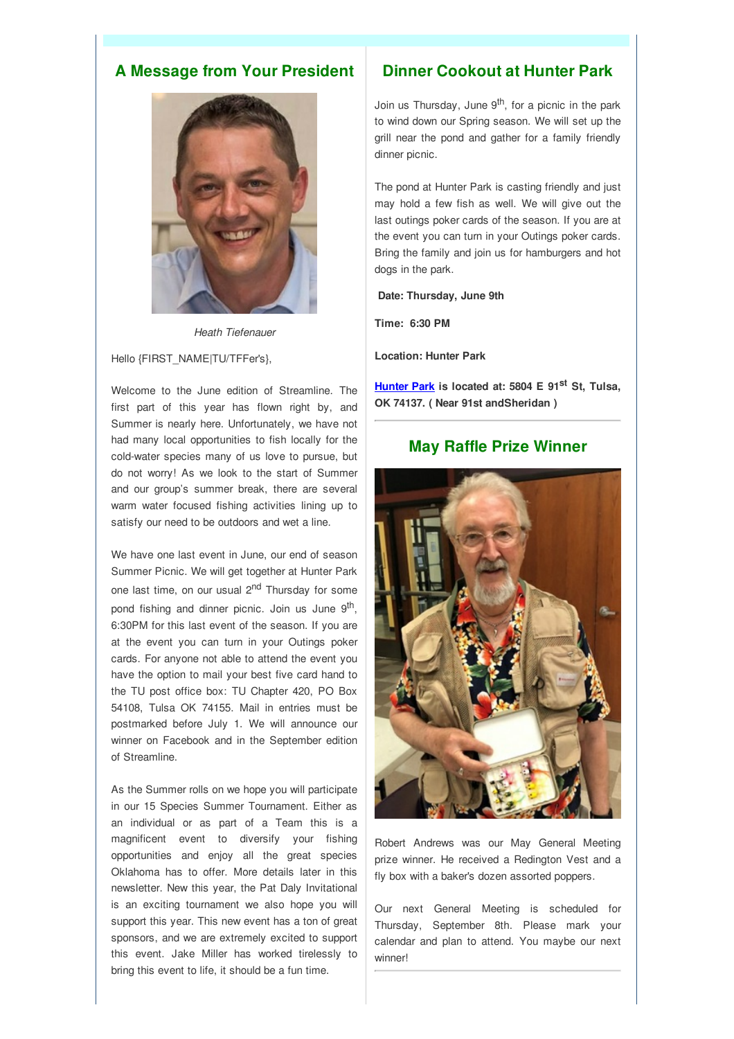# **A Message from Your President**



*Heath Tiefenauer*

Hello {FIRST\_NAME|TU/TFFer's},

Welcome to the June edition of Streamline. The first part of this year has flown right by, and Summer is nearly here. Unfortunately, we have not had many local opportunities to fish locally for the cold-water species many of us love to pursue, but do not worry! As we look to the start of Summer and our group's summer break, there are several warm water focused fishing activities lining up to satisfy our need to be outdoors and wet a line.

We have one last event in June, our end of season Summer Picnic. We will get together at Hunter Park one last time, on our usual 2<sup>nd</sup> Thursday for some pond fishing and dinner picnic. Join us June 9<sup>th</sup>, 6:30PM for this last event of the season. If you are at the event you can turn in your Outings poker cards. For anyone not able to attend the event you have the option to mail your best five card hand to the TU post office box: TU Chapter 420, PO Box 54108, Tulsa OK 74155. Mail in entries must be postmarked before July 1. We will announce our winner on Facebook and in the September edition of Streamline.

As the Summer rolls on we hope you will participate in our 15 Species Summer Tournament. Either as an individual or as part of a Team this is a magnificent event to diversify your fishing opportunities and enjoy all the great species Oklahoma has to offer. More details later in this newsletter. New this year, the Pat Daly Invitational is an exciting tournament we also hope you will support this year. This new event has a ton of great sponsors, and we are extremely excited to support this event. Jake Miller has worked tirelessly to bring this event to life, it should be a fun time.

# **Dinner Cookout at Hunter Park**

Join us Thursday, June 9<sup>th</sup>, for a picnic in the park to wind down our Spring season. We will set up the grill near the pond and gather for a family friendly dinner picnic.

The pond at Hunter Park is casting friendly and just may hold a few fish as well. We will give out the last outings poker cards of the season. If you are at the event you can turn in your Outings poker cards. Bring the family and join us for hamburgers and hot dogs in the park.

#### **Date: Thursday, June 9th**

**Time: 6:30 PM**

**Location: Hunter Park**

**Hunter Park is located at: 5804 E 91 st St, Tulsa, OK 74137. ( Near 91st andSheridan )**

# **May Raffle Prize Winner**



Robert Andrews was our May General Meeting prize winner. He received a Redington Vest and a fly box with a baker's dozen assorted poppers.

Our next General Meeting is scheduled for Thursday, September 8th. Please mark your calendar and plan to attend. You maybe our next winner!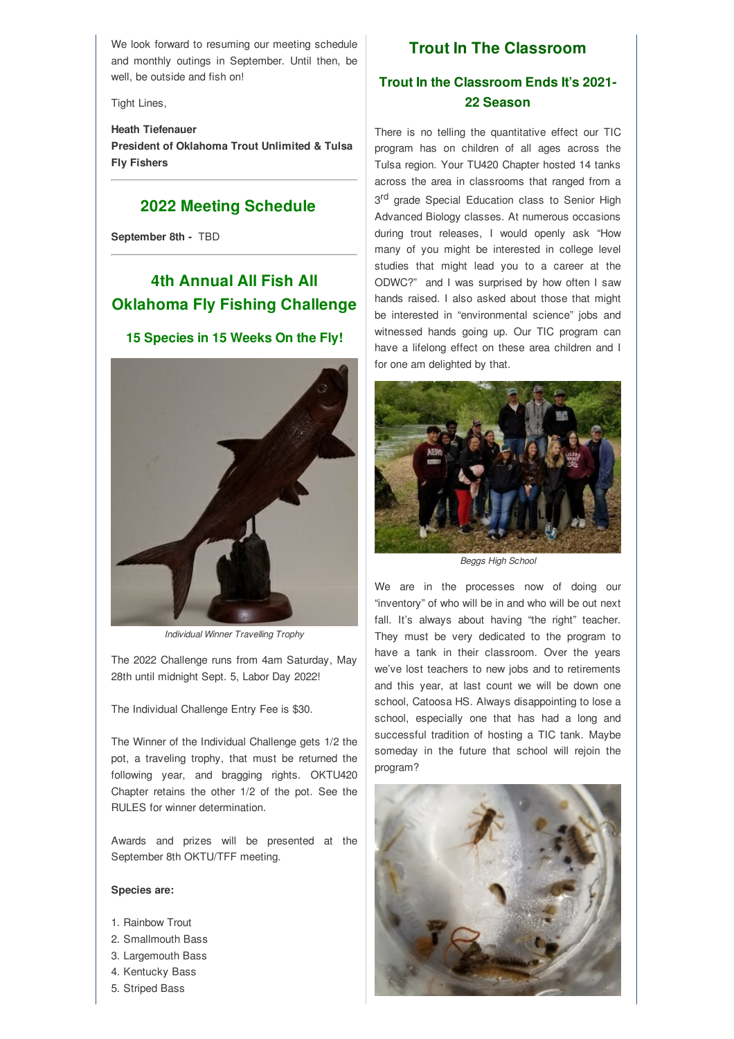We look forward to resuming our meeting schedule and monthly outings in September. Until then, be well, be outside and fish on!

Tight Lines,

## **Heath Tiefenauer President of Oklahoma Trout Unlimited & Tulsa Fly Fishers**

## **2022 Meeting Schedule**

**September 8th -** TBD

# **4th Annual All Fish All Oklahoma Fly Fishing Challenge**

#### **15 Species in 15 Weeks On the Fly!**



*Individual Winner Travelling Trophy*

The 2022 Challenge runs from 4am Saturday, May 28th until midnight Sept. 5, Labor Day 2022!

The Individual Challenge Entry Fee is \$30.

The Winner of the Individual Challenge gets 1/2 the pot, a traveling trophy, that must be returned the following year, and bragging rights. OKTU420 Chapter retains the other 1/2 of the pot. See the RULES for winner determination.

Awards and prizes will be presented at the September 8th OKTU/TFF meeting.

#### **Species are:**

- 1. Rainbow Trout
- 2. Smallmouth Bass
- 3. Largemouth Bass
- 4. Kentucky Bass
- 5. Striped Bass

# **Trout In The Classroom**

# **Trout In the Classroom Ends It's 2021- 22 Season**

There is no telling the quantitative effect our TIC program has on children of all ages across the Tulsa region. Your TU420 Chapter hosted 14 tanks across the area in classrooms that ranged from a 3<sup>rd</sup> grade Special Education class to Senior High Advanced Biology classes. At numerous occasions during trout releases, I would openly ask "How many of you might be interested in college level studies that might lead you to a career at the ODWC?" and I was surprised by how often I saw hands raised. I also asked about those that might be interested in "environmental science" jobs and witnessed hands going up. Our TIC program can have a lifelong effect on these area children and I for one am delighted by that.



*Beggs High School*

We are in the processes now of doing our "inventory" of who will be in and who will be out next fall. It's always about having "the right" teacher. They must be very dedicated to the program to have a tank in their classroom. Over the years we've lost teachers to new jobs and to retirements and this year, at last count we will be down one school, Catoosa HS. Always disappointing to lose a school, especially one that has had a long and successful tradition of hosting a TIC tank. Maybe someday in the future that school will rejoin the program?

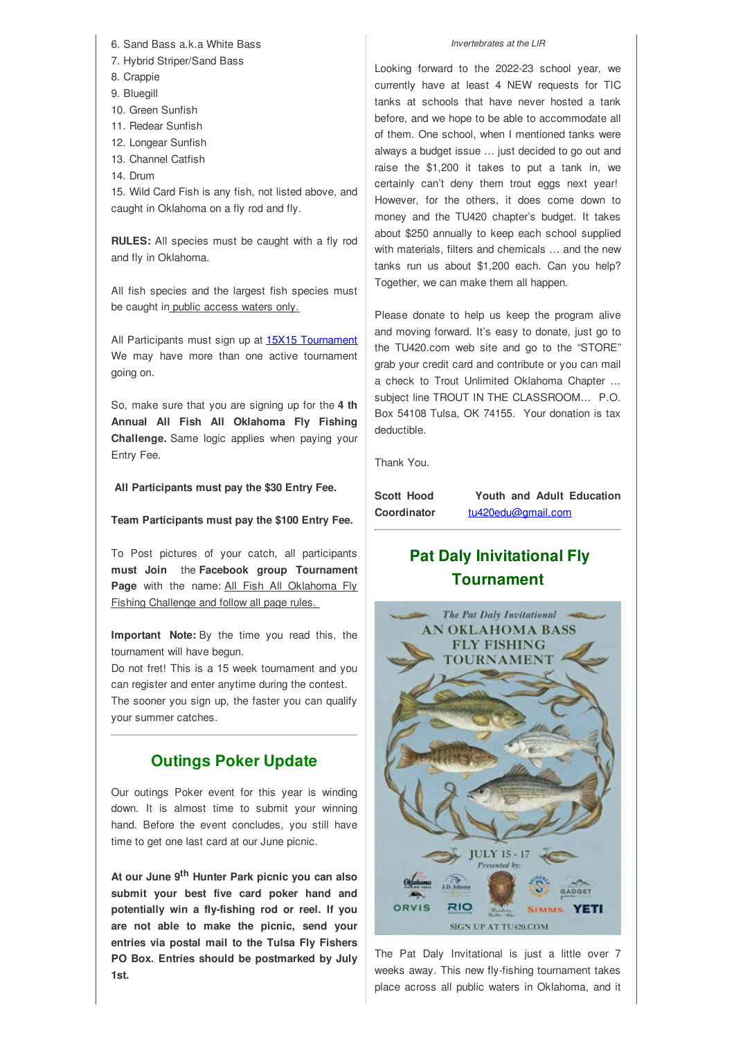6. Sand Bass a.k.a White Bass

- 7. Hybrid Striper/Sand Bass
- 8. Crappie
- 9. Bluegill
- 10. Green Sunfish
- 11. Redear Sunfish
- 12. Longear Sunfish
- 13. Channel Catfish
- 14. Drum

15. Wild Card Fish is any fish, not listed above, and caught in Oklahoma on a fly rod and fly.

**RULES:** All species must be caught with a fly rod and fly in Oklahoma.

All fish species and the largest fish species must be caught in public access waters only.

All Participants must sign up at 15X15 Tournament We may have more than one active tournament going on.

So, make sure that you are signing up for the **4 th Annual All Fish All Oklahoma Fly Fishing Challenge.** Same logic applies when paying your Entry Fee.

**All Participants must pay the \$30 Entry Fee.**

**Team Participants must pay the \$100 Entry Fee.**

To Post pictures of your catch, all participants **must Join** the **Facebook group Tournament** Page with the name: All Fish All Oklahoma Fly Fishing Challenge and follow all page rules.

**Important Note:** By the time you read this, the tournament will have begun.

Do not fret! This is a 15 week tournament and you can register and enter anytime during the contest. The sooner you sign up, the faster you can qualify your summer catches.

# **Outings Poker Update**

Our outings Poker event for this year is winding down. It is almost time to submit your winning hand. Before the event concludes, you still have time to get one last card at our June picnic.

**At our June 9 th Hunter Park picnic you can also submit your best five card poker hand and potentially win a fly-fishing rod or reel. If you are not able to make the picnic, send your entries via postal mail to the Tulsa Fly Fishers PO Box. Entries should be postmarked by July 1st.**

*Invertebrates at the LIR*

Looking forward to the 2022-23 school year, we currently have at least 4 NEW requests for TIC tanks at schools that have never hosted a tank before, and we hope to be able to accommodate all of them. One school, when I mentioned tanks were always a budget issue … just decided to go out and raise the \$1,200 it takes to put a tank in, we certainly can't deny them trout eggs next year! However, for the others, it does come down to money and the TU420 chapter's budget. It takes about \$250 annually to keep each school supplied with materials, filters and chemicals … and the new tanks run us about \$1,200 each. Can you help? Together, we can make them all happen.

Please donate to help us keep the program alive and moving forward. It's easy to donate, just go to the TU420.com web site and go to the "STORE" grab your credit card and contribute or you can mail a check to Trout Unlimited Oklahoma Chapter … subject line TROUT IN THE CLASSROOM… P.O. Box 54108 Tulsa, OK 74155. Your donation is tax deductible.

Thank You.

**Scott Hood Youth and Adult Education Coordinator** tu420edu@gmail.com

# **Pat Daly Inivitational Fly Tournament**



The Pat Daly Invitational is just a little over 7 weeks away. This new fly-fishing tournament takes place across all public waters in Oklahoma, and it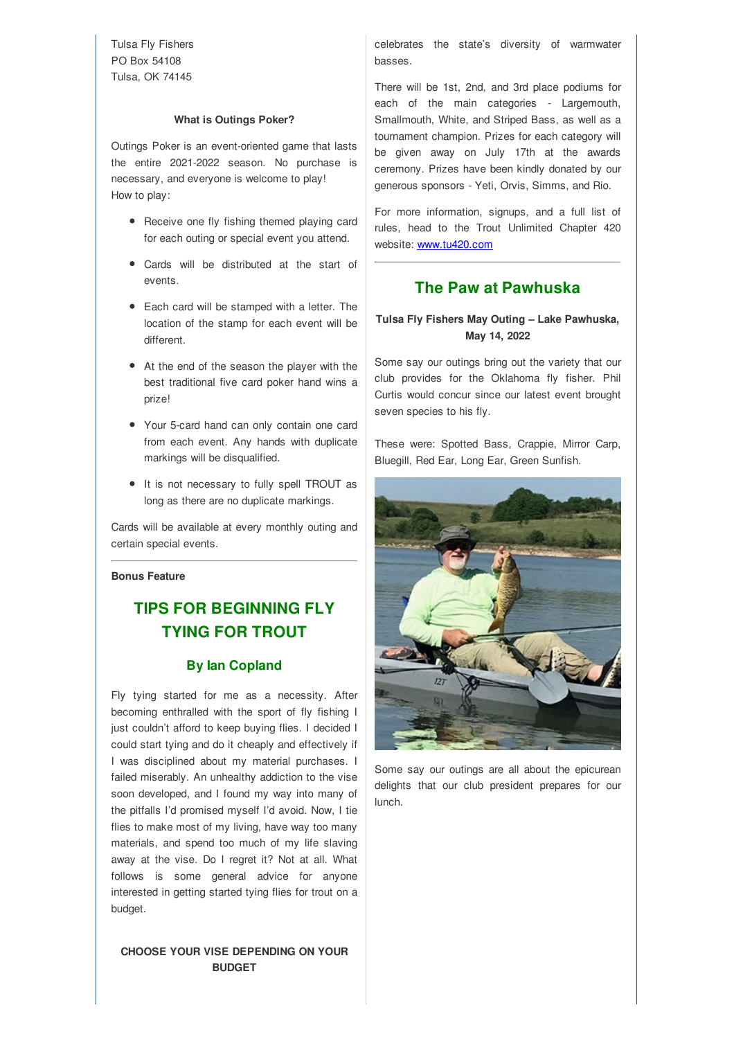Tulsa Fly Fishers PO Box 54108 Tulsa, OK 74145

#### **What is Outings Poker?**

Outings Poker is an event-oriented game that lasts the entire 2021-2022 season. No purchase is necessary, and everyone is welcome to play! How to play:

- Receive one fly fishing themed playing card for each outing or special event you attend.
- Cards will be distributed at the start of events.
- Each card will be stamped with a letter. The location of the stamp for each event will be different.
- At the end of the season the player with the best traditional five card poker hand wins a prize!
- Your 5-card hand can only contain one card from each event. Any hands with duplicate markings will be disqualified.
- $\bullet$  It is not necessary to fully spell TROUT as long as there are no duplicate markings.

Cards will be available at every monthly outing and certain special events.

### **Bonus Feature**

# **TIPS FOR BEGINNING FLY TYING FOR TROUT**

#### **By Ian Copland**

Fly tying started for me as a necessity. After becoming enthralled with the sport of fly fishing I just couldn't afford to keep buying flies. I decided I could start tying and do it cheaply and effectively if I was disciplined about my material purchases. I failed miserably. An unhealthy addiction to the vise soon developed, and I found my way into many of the pitfalls I'd promised myself I'd avoid. Now, I tie flies to make most of my living, have way too many materials, and spend too much of my life slaving away at the vise. Do I regret it? Not at all. What follows is some general advice for anyone interested in getting started tying flies for trout on a budget.

#### **CHOOSE YOUR VISE DEPENDING ON YOUR BUDGET**

celebrates the state's diversity of warmwater basses.

There will be 1st, 2nd, and 3rd place podiums for each of the main categories - Largemouth, Smallmouth, White, and Striped Bass, as well as a tournament champion. Prizes for each category will be given away on July 17th at the awards ceremony. Prizes have been kindly donated by our generous sponsors - Yeti, Orvis, Simms, and Rio.

For more information, signups, and a full list of rules, head to the Trout Unlimited Chapter 420 website: www.tu420.com

# **The Paw at Pawhuska**

## **Tulsa Fly Fishers May Outing – Lake Pawhuska, May 14, 2022**

Some say our outings bring out the variety that our club provides for the Oklahoma fly fisher. Phil Curtis would concur since our latest event brought seven species to his fly.

These were: Spotted Bass, Crappie, Mirror Carp, Bluegill, Red Ear, Long Ear, Green Sunfish.



Some say our outings are all about the epicurean delights that our club president prepares for our lunch.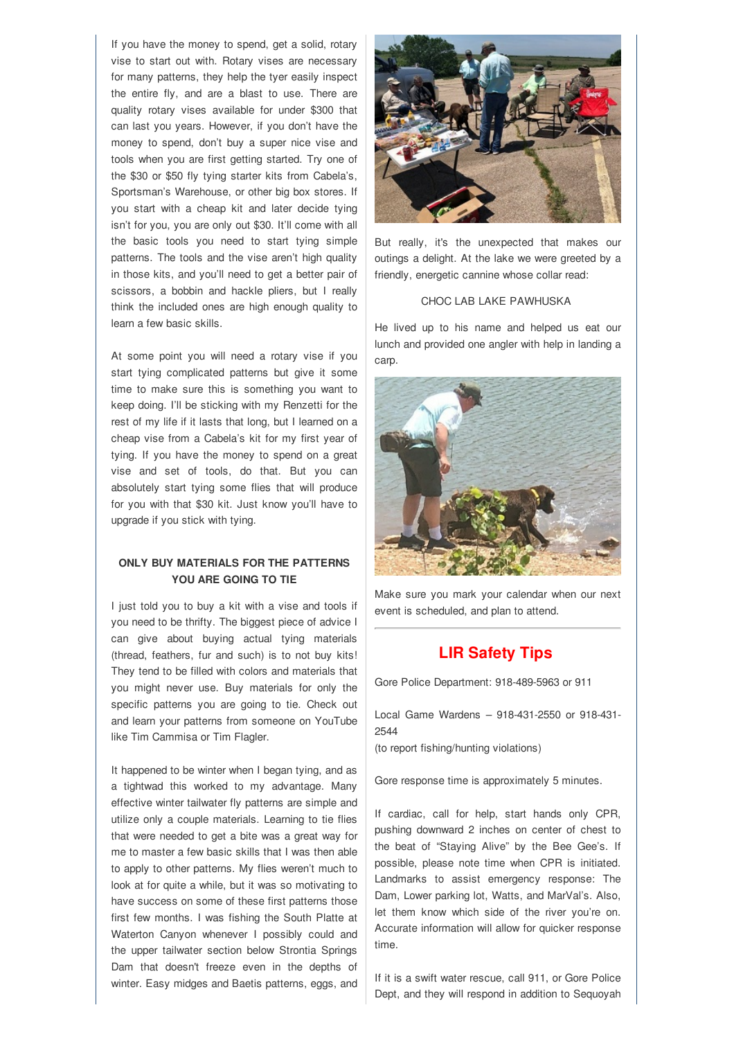If you have the money to spend, get a solid, rotary vise to start out with. Rotary vises are necessary for many patterns, they help the tyer easily inspect the entire fly, and are a blast to use. There are quality rotary vises available for under \$300 that can last you years. However, if you don't have the money to spend, don't buy a super nice vise and tools when you are first getting started. Try one of the \$30 or \$50 fly tying starter kits from Cabela's, Sportsman's Warehouse, or other big box stores. If you start with a cheap kit and later decide tying isn't for you, you are only out \$30. It'll come with all the basic tools you need to start tying simple patterns. The tools and the vise aren't high quality in those kits, and you'll need to get a better pair of scissors, a bobbin and hackle pliers, but I really think the included ones are high enough quality to learn a few basic skills.

At some point you will need a rotary vise if you start tying complicated patterns but give it some time to make sure this is something you want to keep doing. I'll be sticking with my Renzetti for the rest of my life if it lasts that long, but I learned on a cheap vise from a Cabela's kit for my first year of tying. If you have the money to spend on a great vise and set of tools, do that. But you can absolutely start tying some flies that will produce for you with that \$30 kit. Just know you'll have to upgrade if you stick with tying.

## **ONLY BUY MATERIALS FOR THE PATTERNS YOU ARE GOING TO TIE**

I just told you to buy a kit with a vise and tools if you need to be thrifty. The biggest piece of advice I can give about buying actual tying materials (thread, feathers, fur and such) is to not buy kits! They tend to be filled with colors and materials that you might never use. Buy materials for only the specific patterns you are going to tie. Check out and learn your patterns from someone on YouTube like Tim Cammisa or Tim Flagler.

It happened to be winter when I began tying, and as a tightwad this worked to my advantage. Many effective winter tailwater fly patterns are simple and utilize only a couple materials. Learning to tie flies that were needed to get a bite was a great way for me to master a few basic skills that I was then able to apply to other patterns. My flies weren't much to look at for quite a while, but it was so motivating to have success on some of these first patterns those first few months. I was fishing the South Platte at Waterton Canyon whenever I possibly could and the upper tailwater section below Strontia Springs Dam that doesn't freeze even in the depths of winter. Easy midges and Baetis patterns, eggs, and



But really, it's the unexpected that makes our outings a delight. At the lake we were greeted by a friendly, energetic cannine whose collar read:

#### CHOC LAB LAKE PAWHUSKA

He lived up to his name and helped us eat our lunch and provided one angler with help in landing a carp.



Make sure you mark your calendar when our next event is scheduled, and plan to attend.

## **LIR Safety Tips**

Gore Police Department: 918-489-5963 or 911

Local Game Wardens – 918-431-2550 or 918-431- 2544

(to report fishing/hunting violations)

Gore response time is approximately 5 minutes.

If cardiac, call for help, start hands only CPR, pushing downward 2 inches on center of chest to the beat of "Staying Alive" by the Bee Gee's. If possible, please note time when CPR is initiated. Landmarks to assist emergency response: The Dam, Lower parking lot, Watts, and MarVal's. Also, let them know which side of the river you're on. Accurate information will allow for quicker response time.

If it is a swift water rescue, call 911, or Gore Police Dept, and they will respond in addition to Sequoyah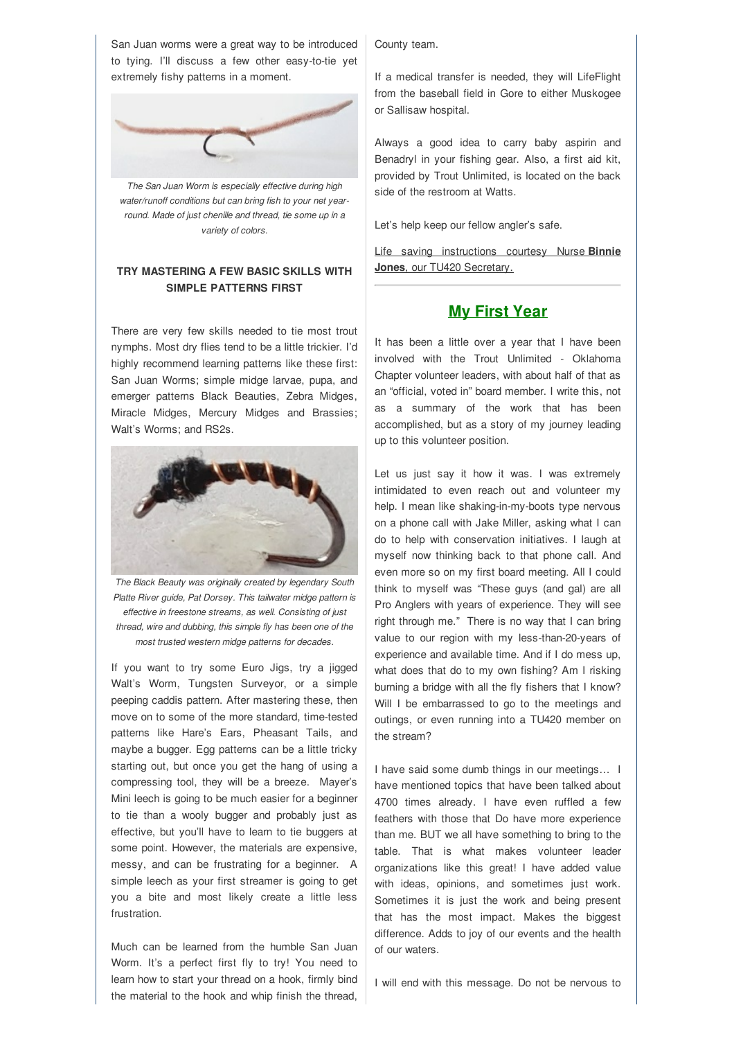San Juan worms were a great way to be introduced to tying. I'll discuss a few other easy-to-tie yet extremely fishy patterns in a moment.



*The San Juan Worm is especially effective during high water/runoff conditions but can bring fish to your net yearround. Made of just chenille and thread, tie some up in a variety of colors.*

## **TRY MASTERING A FEW BASIC SKILLS WITH SIMPLE PATTERNS FIRST**

There are very few skills needed to tie most trout nymphs. Most dry flies tend to be a little trickier. I'd highly recommend learning patterns like these first: San Juan Worms; simple midge larvae, pupa, and emerger patterns Black Beauties, Zebra Midges, Miracle Midges, Mercury Midges and Brassies; Walt's Worms; and RS2s.



*The Black Beauty was originally created by legendary South Platte River guide, Pat Dorsey. This tailwater midge pattern is effective in freestone streams, as well. Consisting of just thread, wire and dubbing, this simple fly has been one of the most trusted western midge patterns for decades.*

If you want to try some Euro Jigs, try a jigged Walt's Worm, Tungsten Surveyor, or a simple peeping caddis pattern. After mastering these, then move on to some of the more standard, time-tested patterns like Hare's Ears, Pheasant Tails, and maybe a bugger. Egg patterns can be a little tricky starting out, but once you get the hang of using a compressing tool, they will be a breeze. Mayer's Mini leech is going to be much easier for a beginner to tie than a wooly bugger and probably just as effective, but you'll have to learn to tie buggers at some point. However, the materials are expensive, messy, and can be frustrating for a beginner. A simple leech as your first streamer is going to get you a bite and most likely create a little less frustration.

Much can be learned from the humble San Juan Worm. It's a perfect first fly to try! You need to learn how to start your thread on a hook, firmly bind the material to the hook and whip finish the thread, County team.

If a medical transfer is needed, they will LifeFlight from the baseball field in Gore to either Muskogee or Sallisaw hospital.

Always a good idea to carry baby aspirin and Benadryl in your fishing gear. Also, a first aid kit, provided by Trout Unlimited, is located on the back side of the restroom at Watts.

Let's help keep our fellow angler's safe.

Life saving instructions courtesy Nurse **Binnie Jones**, our TU420 Secretary.

# **My First Year**

It has been a little over a year that I have been involved with the Trout Unlimited - Oklahoma Chapter volunteer leaders, with about half of that as an "official, voted in" board member. I write this, not as a summary of the work that has been accomplished, but as a story of my journey leading up to this volunteer position.

Let us just say it how it was. I was extremely intimidated to even reach out and volunteer my help. I mean like shaking-in-my-boots type nervous on a phone call with Jake Miller, asking what I can do to help with conservation initiatives. I laugh at myself now thinking back to that phone call. And even more so on my first board meeting. All I could think to myself was "These guys (and gal) are all Pro Anglers with years of experience. They will see right through me." There is no way that I can bring value to our region with my less-than-20-years of experience and available time. And if I do mess up, what does that do to my own fishing? Am I risking burning a bridge with all the fly fishers that I know? Will I be embarrassed to go to the meetings and outings, or even running into a TU420 member on the stream?

I have said some dumb things in our meetings… I have mentioned topics that have been talked about 4700 times already. I have even ruffled a few feathers with those that Do have more experience than me. BUT we all have something to bring to the table. That is what makes volunteer leader organizations like this great! I have added value with ideas, opinions, and sometimes just work. Sometimes it is just the work and being present that has the most impact. Makes the biggest difference. Adds to joy of our events and the health of our waters.

I will end with this message. Do not be nervous to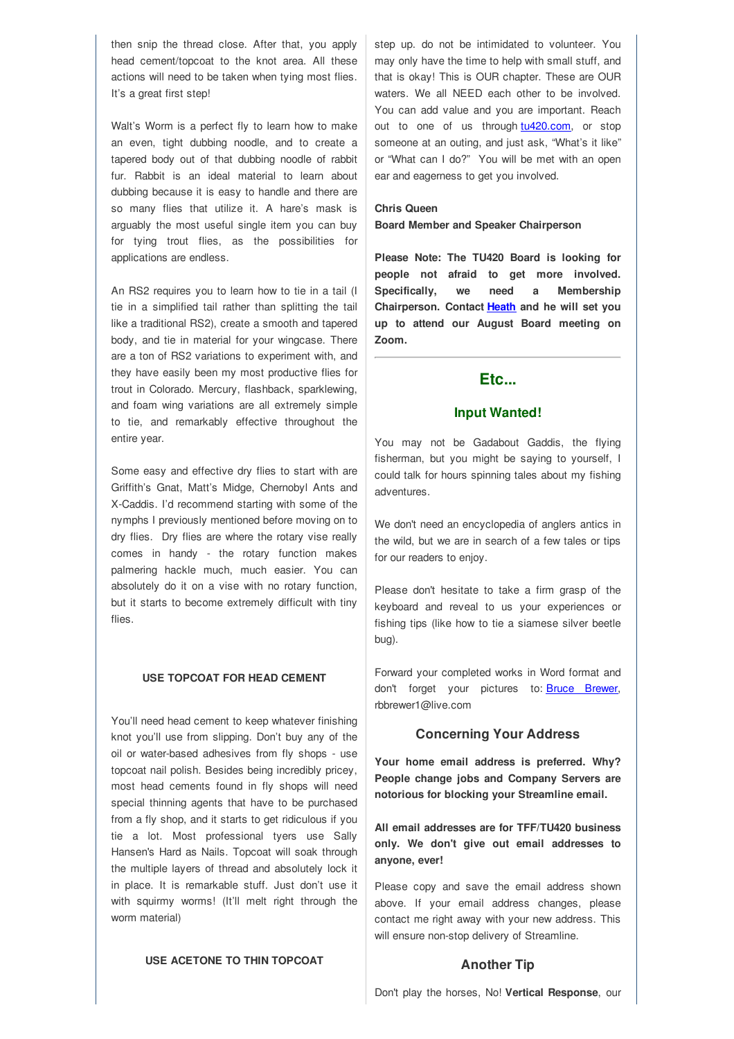then snip the thread close. After that, you apply head cement/topcoat to the knot area. All these actions will need to be taken when tying most flies. It's a great first step!

Walt's Worm is a perfect fly to learn how to make an even, tight dubbing noodle, and to create a tapered body out of that dubbing noodle of rabbit fur. Rabbit is an ideal material to learn about dubbing because it is easy to handle and there are so many flies that utilize it. A hare's mask is arguably the most useful single item you can buy for tying trout flies, as the possibilities for applications are endless.

An RS2 requires you to learn how to tie in a tail (I tie in a simplified tail rather than splitting the tail like a traditional RS2), create a smooth and tapered body, and tie in material for your wingcase. There are a ton of RS2 variations to experiment with, and they have easily been my most productive flies for trout in Colorado. Mercury, flashback, sparklewing, and foam wing variations are all extremely simple to tie, and remarkably effective throughout the entire year.

Some easy and effective dry flies to start with are Griffith's Gnat, Matt's Midge, Chernobyl Ants and X-Caddis. I'd recommend starting with some of the nymphs I previously mentioned before moving on to dry flies. Dry flies are where the rotary vise really comes in handy - the rotary function makes palmering hackle much, much easier. You can absolutely do it on a vise with no rotary function, but it starts to become extremely difficult with tiny flies.

#### **USE TOPCOAT FOR HEAD CEMENT**

You'll need head cement to keep whatever finishing knot you'll use from slipping. Don't buy any of the oil or water-based adhesives from fly shops - use topcoat nail polish. Besides being incredibly pricey, most head cements found in fly shops will need special thinning agents that have to be purchased from a fly shop, and it starts to get ridiculous if you tie a lot. Most professional tyers use Sally Hansen's Hard as Nails. Topcoat will soak through the multiple layers of thread and absolutely lock it in place. It is remarkable stuff. Just don't use it with squirmy worms! (It'll melt right through the worm material)

step up. do not be intimidated to volunteer. You may only have the time to help with small stuff, and that is okay! This is OUR chapter. These are OUR waters. We all NEED each other to be involved. You can add value and you are important. Reach out to one of us through tu420.com, or stop someone at an outing, and just ask, "What's it like" or "What can I do?" You will be met with an open ear and eagerness to get you involved.

#### **Chris Queen**

**Board Member and Speaker Chairperson**

**Please Note: The TU420 Board is looking for people not afraid to get more involved. Specifically, we need a Membership Chairperson. Contact Heath and he will set you up to attend our August Board meeting on Zoom.**

## **Etc...**

### **Input Wanted!**

You may not be Gadabout Gaddis, the flying fisherman, but you might be saying to yourself, I could talk for hours spinning tales about my fishing adventures.

We don't need an encyclopedia of anglers antics in the wild, but we are in search of a few tales or tips for our readers to enjoy.

Please don't hesitate to take a firm grasp of the keyboard and reveal to us your experiences or fishing tips (like how to tie a siamese silver beetle bug).

Forward your completed works in Word format and don't forget your pictures to: **Bruce Brewer**, rbbrewer1@live.com

#### **Concerning Your Address**

**Your home email address is preferred. Why? People change jobs and Company Servers are notorious for blocking your Streamline email.**

**All email addresses are for TFF/TU420 business only. We don't give out email addresses to anyone, ever!**

Please copy and save the email address shown above. If your email address changes, please contact me right away with your new address. This will ensure non-stop delivery of Streamline.

#### **USE ACETONE TO THIN TOPCOAT**

#### **Another Tip**

Don't play the horses, No! **Vertical Response**, our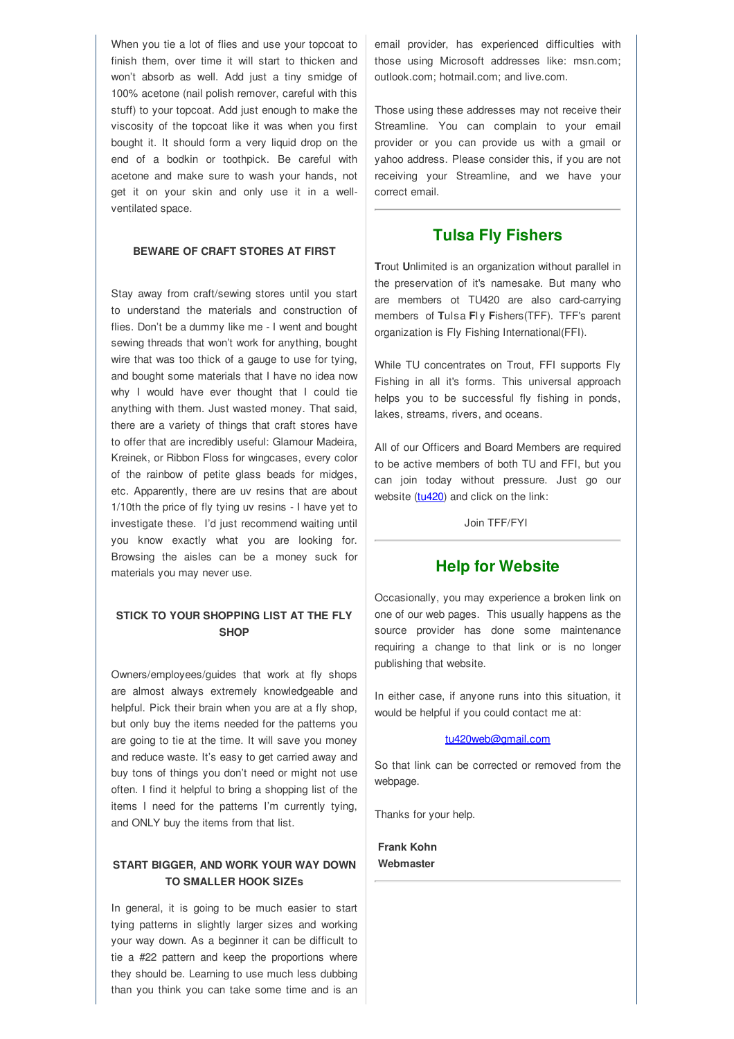When you tie a lot of flies and use your topcoat to finish them, over time it will start to thicken and won't absorb as well. Add just a tiny smidge of 100% acetone (nail polish remover, careful with this stuff) to your topcoat. Add just enough to make the viscosity of the topcoat like it was when you first bought it. It should form a very liquid drop on the end of a bodkin or toothpick. Be careful with acetone and make sure to wash your hands, not get it on your skin and only use it in a wellventilated space.

#### **BEWARE OF CRAFT STORES AT FIRST**

Stay away from craft/sewing stores until you start to understand the materials and construction of flies. Don't be a dummy like me - I went and bought sewing threads that won't work for anything, bought wire that was too thick of a gauge to use for tying, and bought some materials that I have no idea now why I would have ever thought that I could tie anything with them. Just wasted money. That said, there are a variety of things that craft stores have to offer that are incredibly useful: Glamour Madeira, Kreinek, or Ribbon Floss for wingcases, every color of the rainbow of petite glass beads for midges, etc. Apparently, there are uv resins that are about 1/10th the price of fly tying uv resins - I have yet to investigate these. I'd just recommend waiting until you know exactly what you are looking for. Browsing the aisles can be a money suck for materials you may never use.

## **STICK TO YOUR SHOPPING LIST AT THE FLY SHOP**

Owners/employees/guides that work at fly shops are almost always extremely knowledgeable and helpful. Pick their brain when you are at a fly shop, but only buy the items needed for the patterns you are going to tie at the time. It will save you money and reduce waste. It's easy to get carried away and buy tons of things you don't need or might not use often. I find it helpful to bring a shopping list of the items I need for the patterns I'm currently tying, and ONLY buy the items from that list.

### **START BIGGER, AND WORK YOUR WAY DOWN TO SMALLER HOOK SIZEs**

In general, it is going to be much easier to start tying patterns in slightly larger sizes and working your way down. As a beginner it can be difficult to tie a #22 pattern and keep the proportions where they should be. Learning to use much less dubbing than you think you can take some time and is an email provider, has experienced difficulties with those using Microsoft addresses like: msn.com; outlook.com; hotmail.com; and live.com.

Those using these addresses may not receive their Streamline. You can complain to your email provider or you can provide us with a gmail or yahoo address. Please consider this, if you are not receiving your Streamline, and we have your correct email.

## **Tulsa Fly Fishers**

**T**rout **U**nlimited is an organization without parallel in the preservation of it's namesake. But many who are members ot TU420 are also card-carrying members of **T**ulsa **F**l y **F**ishers(TFF). TFF's parent organization is Fly Fishing International(FFI).

While TU concentrates on Trout, FFI supports Fly Fishing in all it's forms. This universal approach helps you to be successful fly fishing in ponds, lakes, streams, rivers, and oceans.

All of our Officers and Board Members are required to be active members of both TU and FFI, but you can join today without pressure. Just go our website (tu420) and click on the link:

Join TFF/FYI

## **Help for Website**

Occasionally, you may experience a broken link on one of our web pages. This usually happens as the source provider has done some maintenance requiring a change to that link or is no longer publishing that website.

In either case, if anyone runs into this situation, it would be helpful if you could contact me at:

#### tu420web@gmail.com

So that link can be corrected or removed from the webpage.

Thanks for your help.

**Frank Kohn Webmaster**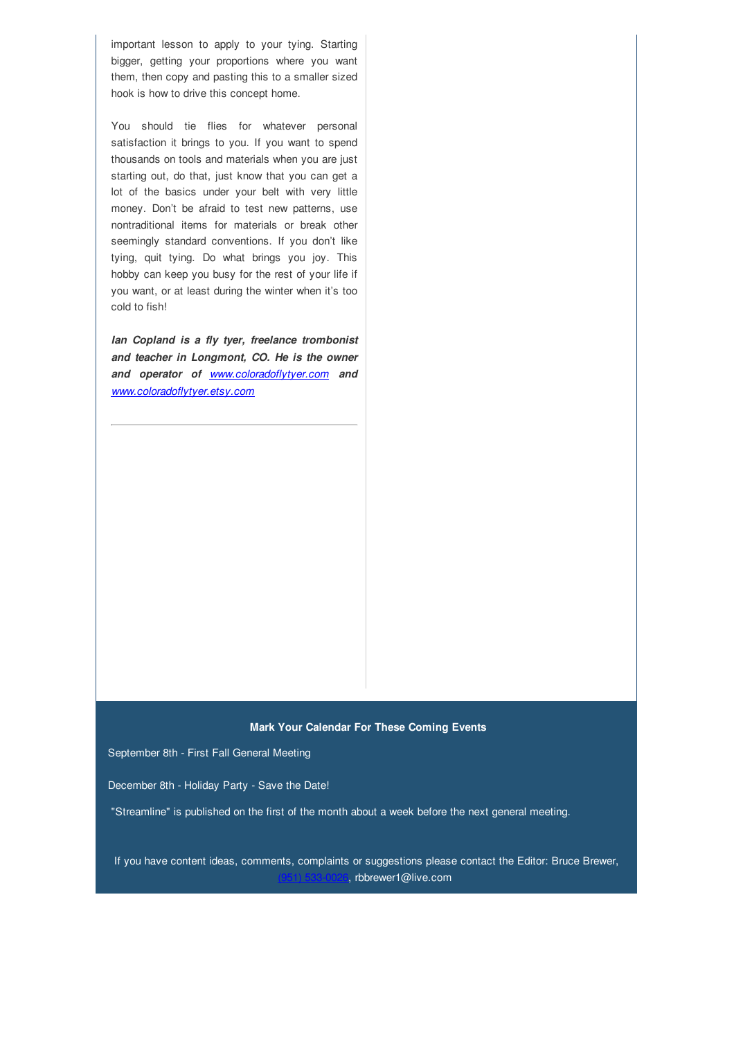important lesson to apply to your tying. Starting bigger, getting your proportions where you want them, then copy and pasting this to a smaller sized hook is how to drive this concept home.

You should tie flies for whatever personal satisfaction it brings to you. If you want to spend thousands on tools and materials when you are just starting out, do that, just know that you can get a lot of the basics under your belt with very little money. Don't be afraid to test new patterns, use nontraditional items for materials or break other seemingly standard conventions. If you don't like tying, quit tying. Do what brings you joy. This hobby can keep you busy for the rest of your life if you want, or at least during the winter when it's too cold to fish!

*Ian Copland is a fly tyer, freelance trombonist and teacher in Longmont, CO. He is the owner and operator of www.coloradoflytyer.com and www.coloradoflytyer.etsy.com*

#### **Mark Your Calendar For These Coming Events**

September 8th - First Fall General Meeting

December 8th - Holiday Party - Save the Date!

"Streamline" is published on the first of the month about a week before the next general meeting.

If you have content ideas, comments, complaints or suggestions please contact the Editor: Bruce Brewer, <sub>,</sub> rbbrewer1@live.com